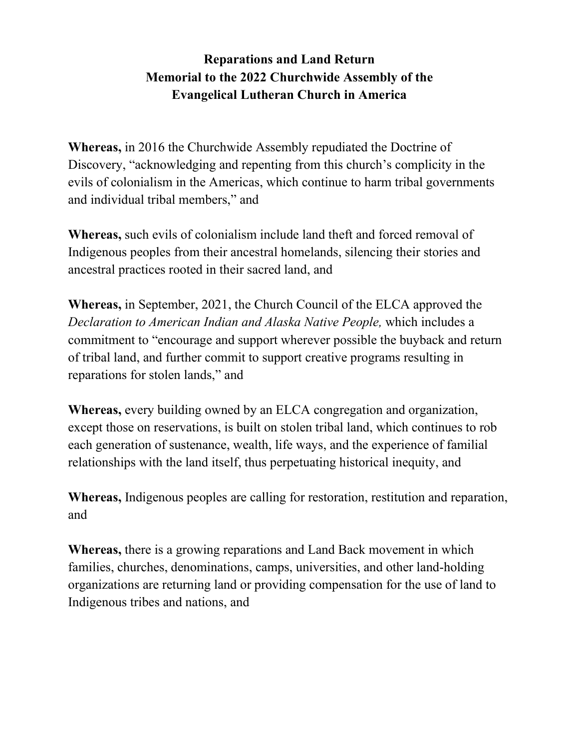## **Reparations and Land Return Memorial to the 2022 Churchwide Assembly of the Evangelical Lutheran Church in America**

**Whereas,** in 2016 the Churchwide Assembly repudiated the Doctrine of Discovery, "acknowledging and repenting from this church's complicity in the evils of colonialism in the Americas, which continue to harm tribal governments and individual tribal members," and

**Whereas,** such evils of colonialism include land theft and forced removal of Indigenous peoples from their ancestral homelands, silencing their stories and ancestral practices rooted in their sacred land, and

**Whereas,** in September, 2021, the Church Council of the ELCA approved the *Declaration to American Indian and Alaska Native People,* which includes a commitment to "encourage and support wherever possible the buyback and return of tribal land, and further commit to support creative programs resulting in reparations for stolen lands," and

**Whereas,** every building owned by an ELCA congregation and organization, except those on reservations, is built on stolen tribal land, which continues to rob each generation of sustenance, wealth, life ways, and the experience of familial relationships with the land itself, thus perpetuating historical inequity, and

**Whereas,** Indigenous peoples are calling for restoration, restitution and reparation, and

**Whereas,** there is a growing reparations and Land Back movement in which families, churches, denominations, camps, universities, and other land-holding organizations are returning land or providing compensation for the use of land to Indigenous tribes and nations, and